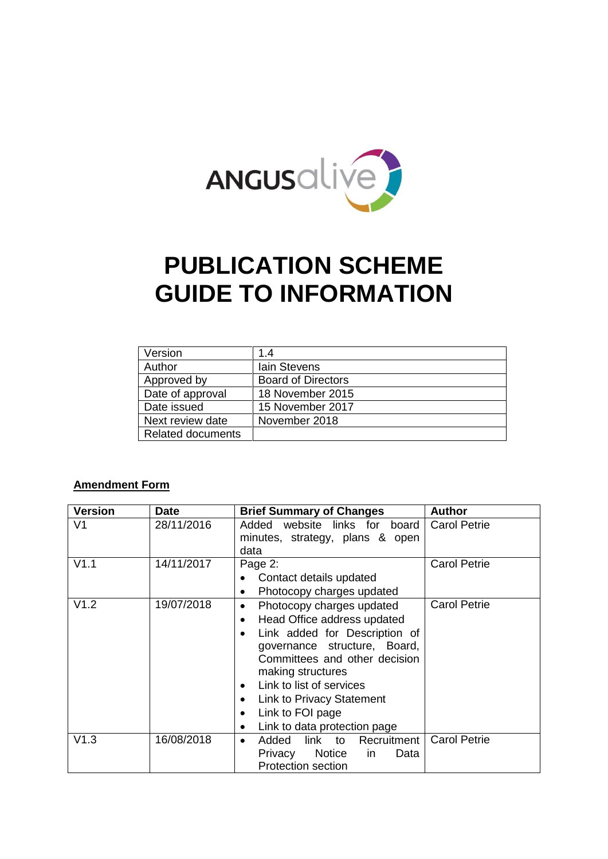

# **PUBLICATION SCHEME GUIDE TO INFORMATION**

| Version                  | 1.4                       |
|--------------------------|---------------------------|
| Author                   | lain Stevens              |
| Approved by              | <b>Board of Directors</b> |
| Date of approval         | 18 November 2015          |
| Date issued              | 15 November 2017          |
| Next review date         | November 2018             |
| <b>Related documents</b> |                           |

#### **Amendment Form**

| <b>Version</b> | <b>Date</b> | <b>Brief Summary of Changes</b>                                                                                                                                                                                                                                                                                                                                                         | <b>Author</b>       |
|----------------|-------------|-----------------------------------------------------------------------------------------------------------------------------------------------------------------------------------------------------------------------------------------------------------------------------------------------------------------------------------------------------------------------------------------|---------------------|
| V1             | 28/11/2016  | Added website links for board<br>minutes, strategy, plans & open<br>data                                                                                                                                                                                                                                                                                                                | <b>Carol Petrie</b> |
| V1.1           | 14/11/2017  | Page 2:<br>Contact details updated<br>Photocopy charges updated<br>$\bullet$                                                                                                                                                                                                                                                                                                            | <b>Carol Petrie</b> |
| V1.2           | 19/07/2018  | Photocopy charges updated<br>$\bullet$<br>Head Office address updated<br>$\bullet$<br>Link added for Description of<br>$\bullet$<br>governance structure, Board,<br>Committees and other decision<br>making structures<br>Link to list of services<br>$\bullet$<br>Link to Privacy Statement<br>$\bullet$<br>Link to FOI page<br>$\bullet$<br>Link to data protection page<br>$\bullet$ | <b>Carol Petrie</b> |
| V1.3           | 16/08/2018  | link to<br>Recruitment<br>Added<br>$\bullet$<br>Notice<br>Privacy<br>Data<br><i>in</i><br><b>Protection section</b>                                                                                                                                                                                                                                                                     | <b>Carol Petrie</b> |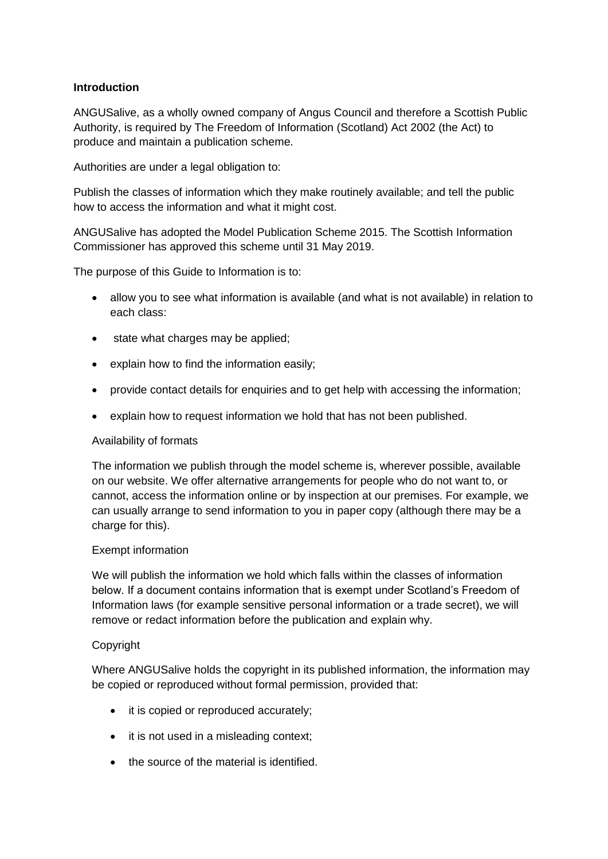#### **Introduction**

ANGUSalive, as a wholly owned company of Angus Council and therefore a Scottish Public Authority, is required by The Freedom of Information (Scotland) Act 2002 (the Act) to produce and maintain a publication scheme.

Authorities are under a legal obligation to:

Publish the classes of information which they make routinely available; and tell the public how to access the information and what it might cost.

ANGUSalive has adopted the Model Publication Scheme 2015. The Scottish Information Commissioner has approved this scheme until 31 May 2019.

The purpose of this Guide to Information is to:

- allow you to see what information is available (and what is not available) in relation to each class:
- state what charges may be applied;
- explain how to find the information easily;
- provide contact details for enquiries and to get help with accessing the information;
- explain how to request information we hold that has not been published.

#### Availability of formats

The information we publish through the model scheme is, wherever possible, available on our website. We offer alternative arrangements for people who do not want to, or cannot, access the information online or by inspection at our premises. For example, we can usually arrange to send information to you in paper copy (although there may be a charge for this).

#### Exempt information

We will publish the information we hold which falls within the classes of information below. If a document contains information that is exempt under Scotland's Freedom of Information laws (for example sensitive personal information or a trade secret), we will remove or redact information before the publication and explain why.

#### **Copyright**

Where ANGUSalive holds the copyright in its published information, the information may be copied or reproduced without formal permission, provided that:

- it is copied or reproduced accurately;
- it is not used in a misleading context;
- the source of the material is identified.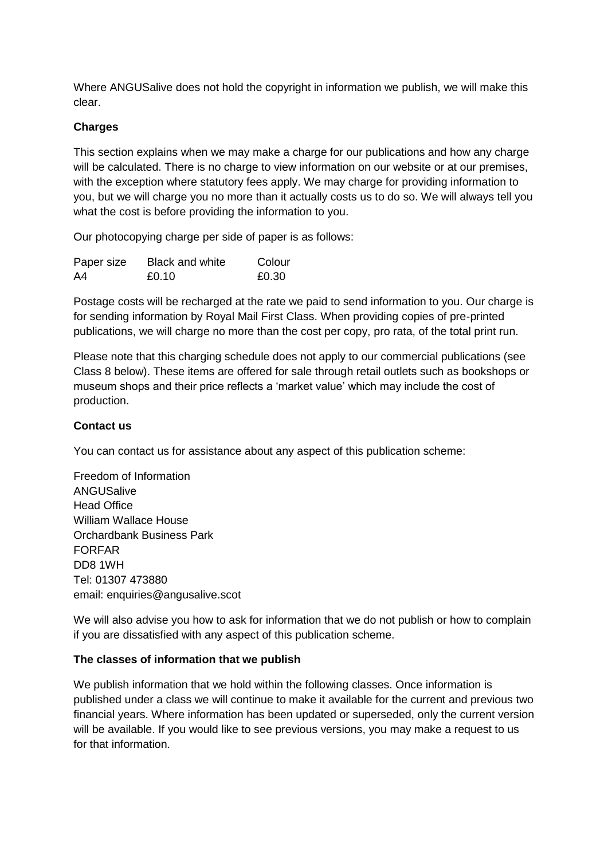Where ANGUSalive does not hold the copyright in information we publish, we will make this clear.

#### <span id="page-2-0"></span>**Charges**

This section explains when we may make a charge for our publications and how any charge will be calculated. There is no charge to view information on our website or at our premises, with the exception where statutory fees apply. We may charge for providing information to you, but we will charge you no more than it actually costs us to do so. We will always tell you what the cost is before providing the information to you.

Our photocopying charge per side of paper is as follows:

| Paper size | <b>Black and white</b> | Colour |
|------------|------------------------|--------|
| A4         | £0.10                  | £0.30  |

Postage costs will be recharged at the rate we paid to send information to you. Our charge is for sending information by Royal Mail First Class. When providing copies of pre-printed publications, we will charge no more than the cost per copy, pro rata, of the total print run.

Please note that this charging schedule does not apply to our commercial publications (see Class 8 below). These items are offered for sale through retail outlets such as bookshops or museum shops and their price reflects a 'market value' which may include the cost of production.

#### **Contact us**

You can contact us for assistance about any aspect of this publication scheme:

Freedom of Information ANGUSalive Head Office William Wallace House Orchardbank Business Park FORFAR DD8 1WH Tel: 01307 473880 email: enquiries@angusalive.scot

We will also advise you how to ask for information that we do not publish or how to complain if you are dissatisfied with any aspect of this publication scheme.

#### **The classes of information that we publish**

We publish information that we hold within the following classes. Once information is published under a class we will continue to make it available for the current and previous two financial years. Where information has been updated or superseded, only the current version will be available. If you would like to see previous versions, you may make a request to us for that information.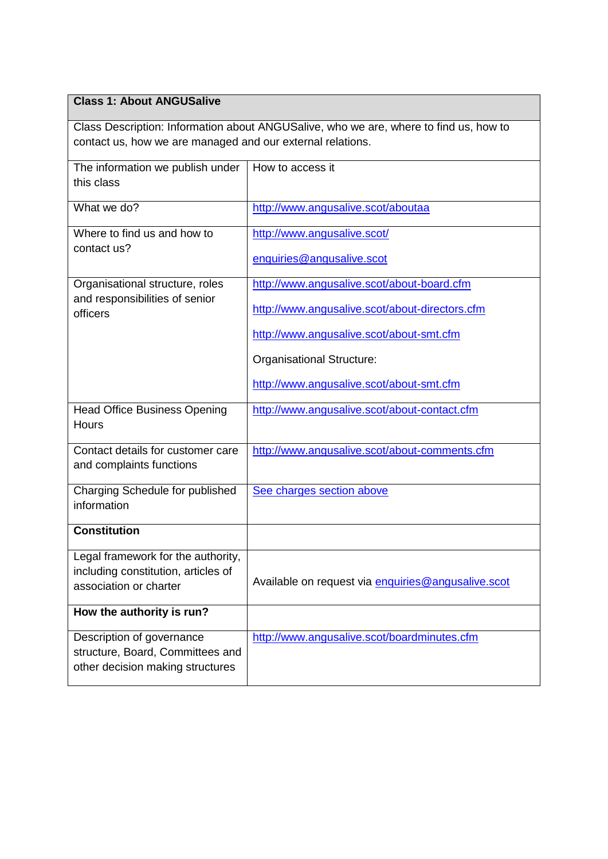## **Class 1: About ANGUSalive**

Class Description: Information about ANGUSalive, who we are, where to find us, how to contact us, how we are managed and our external relations.

| The information we publish under<br>this class                                                      | How to access it                                                                                                                                                                                                  |
|-----------------------------------------------------------------------------------------------------|-------------------------------------------------------------------------------------------------------------------------------------------------------------------------------------------------------------------|
| What we do?                                                                                         | http://www.angusalive.scot/aboutaa                                                                                                                                                                                |
| Where to find us and how to<br>contact us?                                                          | http://www.angusalive.scot/<br>enquiries@angusalive.scot                                                                                                                                                          |
| Organisational structure, roles<br>and responsibilities of senior<br>officers                       | http://www.angusalive.scot/about-board.cfm<br>http://www.angusalive.scot/about-directors.cfm<br>http://www.angusalive.scot/about-smt.cfm<br>Organisational Structure:<br>http://www.angusalive.scot/about-smt.cfm |
| <b>Head Office Business Opening</b><br><b>Hours</b>                                                 | http://www.angusalive.scot/about-contact.cfm                                                                                                                                                                      |
| Contact details for customer care<br>and complaints functions                                       | http://www.angusalive.scot/about-comments.cfm                                                                                                                                                                     |
| Charging Schedule for published<br>information                                                      | See charges section above                                                                                                                                                                                         |
| <b>Constitution</b>                                                                                 |                                                                                                                                                                                                                   |
| Legal framework for the authority,<br>including constitution, articles of<br>association or charter | Available on request via enquiries@angusalive.scot                                                                                                                                                                |
| How the authority is run?                                                                           |                                                                                                                                                                                                                   |
| Description of governance<br>structure, Board, Committees and<br>other decision making structures   | http://www.angusalive.scot/boardminutes.cfm                                                                                                                                                                       |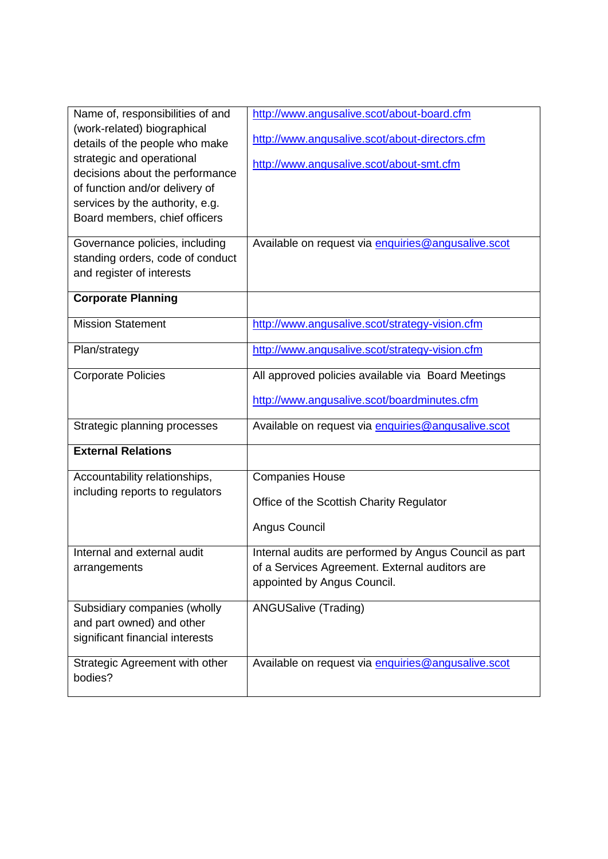| Name of, responsibilities of and | http://www.angusalive.scot/about-board.cfm             |
|----------------------------------|--------------------------------------------------------|
| (work-related) biographical      |                                                        |
| details of the people who make   | http://www.angusalive.scot/about-directors.cfm         |
| strategic and operational        | http://www.angusalive.scot/about-smt.cfm               |
| decisions about the performance  |                                                        |
| of function and/or delivery of   |                                                        |
| services by the authority, e.g.  |                                                        |
| Board members, chief officers    |                                                        |
| Governance policies, including   | Available on request via enquiries@angusalive.scot     |
| standing orders, code of conduct |                                                        |
| and register of interests        |                                                        |
|                                  |                                                        |
| <b>Corporate Planning</b>        |                                                        |
| <b>Mission Statement</b>         | http://www.angusalive.scot/strategy-vision.cfm         |
|                                  |                                                        |
| Plan/strategy                    | http://www.angusalive.scot/strategy-vision.cfm         |
| <b>Corporate Policies</b>        | All approved policies available via Board Meetings     |
|                                  | http://www.angusalive.scot/boardminutes.cfm            |
| Strategic planning processes     | Available on request via enquiries@anqusalive.scot     |
|                                  |                                                        |
| <b>External Relations</b>        |                                                        |
| Accountability relationships,    | <b>Companies House</b>                                 |
| including reports to regulators  |                                                        |
|                                  | Office of the Scottish Charity Regulator               |
|                                  | Angus Council                                          |
| Internal and external audit      | Internal audits are performed by Angus Council as part |
| arrangements                     | of a Services Agreement. External auditors are         |
|                                  | appointed by Angus Council.                            |
|                                  |                                                        |
| Subsidiary companies (wholly     | <b>ANGUSalive (Trading)</b>                            |
| and part owned) and other        |                                                        |
| significant financial interests  |                                                        |
| Strategic Agreement with other   | Available on request via enquiries@angusalive.scot     |
| bodies?                          |                                                        |
|                                  |                                                        |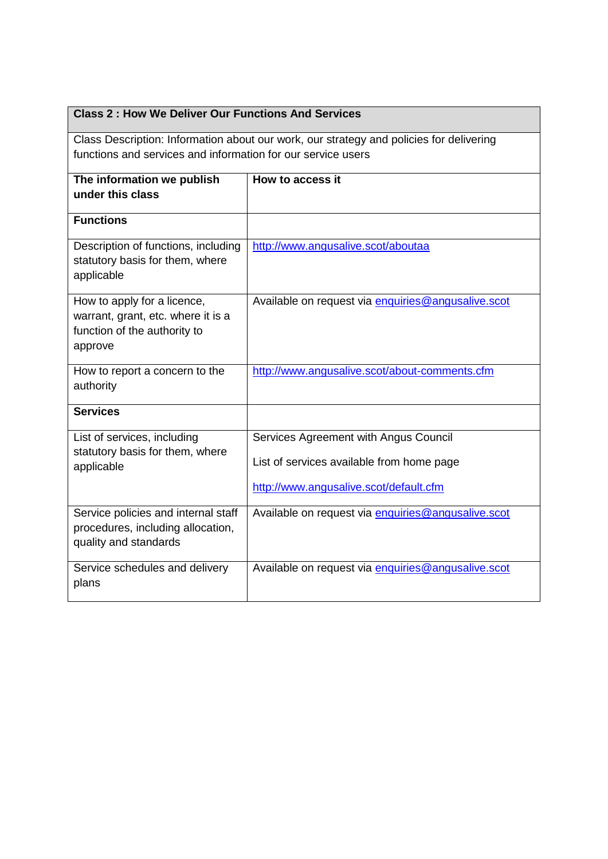| <b>Class 2: How We Deliver Our Functions And Services</b>                                                                                               |                                                                                                                              |  |
|---------------------------------------------------------------------------------------------------------------------------------------------------------|------------------------------------------------------------------------------------------------------------------------------|--|
| Class Description: Information about our work, our strategy and policies for delivering<br>functions and services and information for our service users |                                                                                                                              |  |
| The information we publish<br>under this class                                                                                                          | How to access it                                                                                                             |  |
| <b>Functions</b>                                                                                                                                        |                                                                                                                              |  |
| Description of functions, including<br>statutory basis for them, where<br>applicable                                                                    | http://www.angusalive.scot/aboutaa                                                                                           |  |
| How to apply for a licence,<br>warrant, grant, etc. where it is a<br>function of the authority to<br>approve                                            | Available on request via enquiries@angusalive.scot                                                                           |  |
| How to report a concern to the<br>authority                                                                                                             | http://www.angusalive.scot/about-comments.cfm                                                                                |  |
| <b>Services</b>                                                                                                                                         |                                                                                                                              |  |
| List of services, including<br>statutory basis for them, where<br>applicable                                                                            | Services Agreement with Angus Council<br>List of services available from home page<br>http://www.angusalive.scot/default.cfm |  |
| Service policies and internal staff<br>procedures, including allocation,<br>quality and standards                                                       | Available on request via enquiries@angusalive.scot                                                                           |  |
| Service schedules and delivery<br>plans                                                                                                                 | Available on request via enquiries@angusalive.scot                                                                           |  |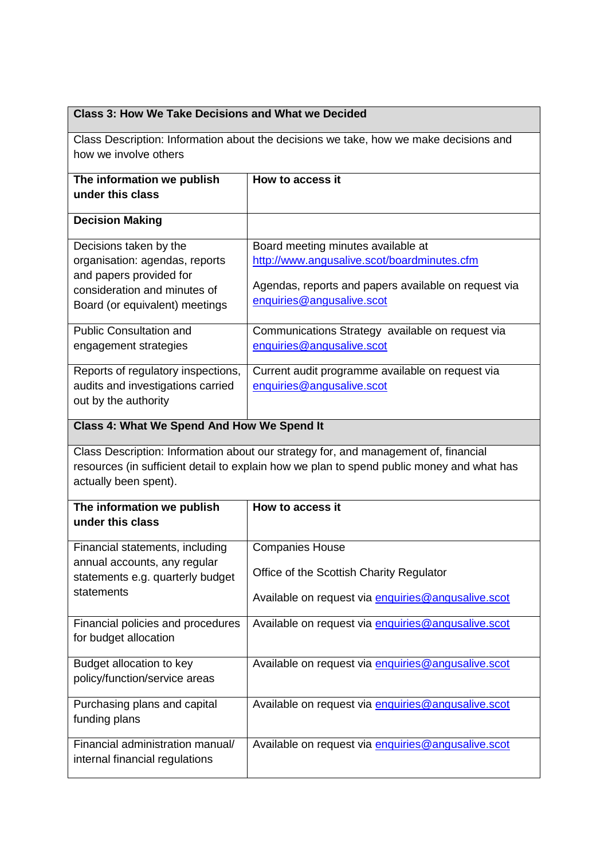| <b>Class 3: How We Take Decisions and What we Decided</b>                                                                                                                                                 |                                                                                                                                                                        |  |
|-----------------------------------------------------------------------------------------------------------------------------------------------------------------------------------------------------------|------------------------------------------------------------------------------------------------------------------------------------------------------------------------|--|
| Class Description: Information about the decisions we take, how we make decisions and<br>how we involve others                                                                                            |                                                                                                                                                                        |  |
| The information we publish<br>under this class                                                                                                                                                            | How to access it                                                                                                                                                       |  |
| <b>Decision Making</b>                                                                                                                                                                                    |                                                                                                                                                                        |  |
| Decisions taken by the<br>organisation: agendas, reports<br>and papers provided for<br>consideration and minutes of<br>Board (or equivalent) meetings                                                     | Board meeting minutes available at<br>http://www.angusalive.scot/boardminutes.cfm<br>Agendas, reports and papers available on request via<br>enquiries@angusalive.scot |  |
| <b>Public Consultation and</b><br>engagement strategies                                                                                                                                                   | Communications Strategy available on request via<br>enquiries@angusalive.scot                                                                                          |  |
| Reports of regulatory inspections,<br>audits and investigations carried<br>out by the authority                                                                                                           | Current audit programme available on request via<br>enquiries@angusalive.scot                                                                                          |  |
| Class 4: What We Spend And How We Spend It                                                                                                                                                                |                                                                                                                                                                        |  |
| Class Description: Information about our strategy for, and management of, financial<br>resources (in sufficient detail to explain how we plan to spend public money and what has<br>actually been spent). |                                                                                                                                                                        |  |
| The information we publish<br>under this class                                                                                                                                                            | <b>How to access it</b>                                                                                                                                                |  |
| Financial statements, including                                                                                                                                                                           | <b>Companies House</b>                                                                                                                                                 |  |
| annual accounts, any regular<br>statements e.g. quarterly budget                                                                                                                                          | Office of the Scottish Charity Regulator                                                                                                                               |  |
| statements                                                                                                                                                                                                | Available on request via enquiries@angusalive.scot                                                                                                                     |  |
| Financial policies and procedures<br>for budget allocation                                                                                                                                                | Available on request via enquiries@angusalive.scot                                                                                                                     |  |
| Budget allocation to key<br>policy/function/service areas                                                                                                                                                 | Available on request via enquiries@angusalive.scot                                                                                                                     |  |
| Purchasing plans and capital<br>funding plans                                                                                                                                                             | Available on request via enquiries@angusalive.scot                                                                                                                     |  |
| Financial administration manual/<br>internal financial regulations                                                                                                                                        | Available on request via enquiries@anqusalive.scot                                                                                                                     |  |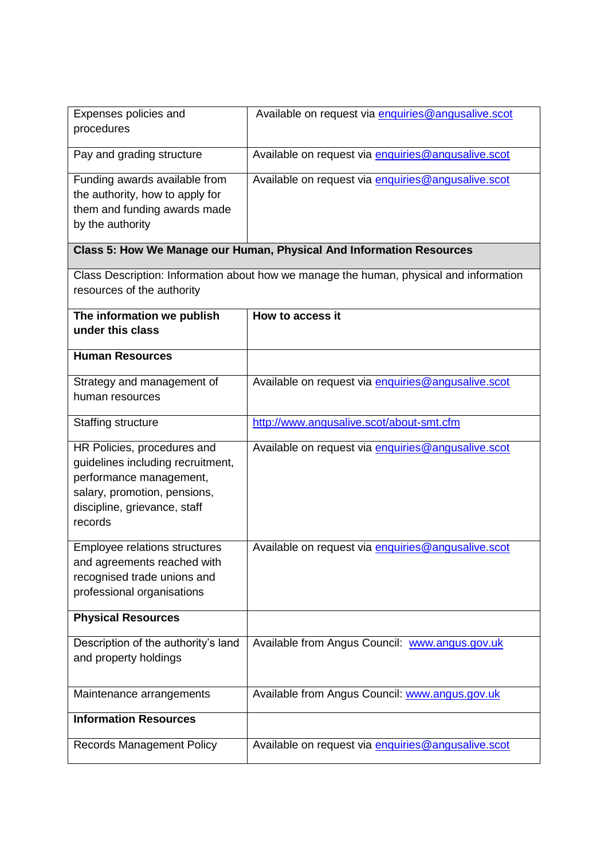| Expenses policies and<br>procedures                                                                                                                                    | Available on request via enquiries@angusalive.scot                                     |  |
|------------------------------------------------------------------------------------------------------------------------------------------------------------------------|----------------------------------------------------------------------------------------|--|
| Pay and grading structure                                                                                                                                              | Available on request via enquiries@angusalive.scot                                     |  |
| Funding awards available from<br>the authority, how to apply for<br>them and funding awards made<br>by the authority                                                   | Available on request via enquiries@angusalive.scot                                     |  |
|                                                                                                                                                                        | Class 5: How We Manage our Human, Physical And Information Resources                   |  |
| resources of the authority                                                                                                                                             | Class Description: Information about how we manage the human, physical and information |  |
| The information we publish<br>under this class                                                                                                                         | How to access it                                                                       |  |
| <b>Human Resources</b>                                                                                                                                                 |                                                                                        |  |
| Strategy and management of<br>human resources                                                                                                                          | Available on request via enquiries@angusalive.scot                                     |  |
| <b>Staffing structure</b>                                                                                                                                              | http://www.angusalive.scot/about-smt.cfm                                               |  |
| HR Policies, procedures and<br>guidelines including recruitment,<br>performance management,<br>salary, promotion, pensions,<br>discipline, grievance, staff<br>records | Available on request via enquiries@angusalive.scot                                     |  |
| Employee relations structures<br>and agreements reached with<br>recognised trade unions and<br>professional organisations                                              | Available on request via enquiries@angusalive.scot                                     |  |
| <b>Physical Resources</b>                                                                                                                                              |                                                                                        |  |
| Description of the authority's land<br>and property holdings                                                                                                           | Available from Angus Council: www.angus.gov.uk                                         |  |
| Maintenance arrangements                                                                                                                                               | Available from Angus Council: www.angus.gov.uk                                         |  |
| <b>Information Resources</b>                                                                                                                                           |                                                                                        |  |
| <b>Records Management Policy</b>                                                                                                                                       | Available on request via enquiries@angusalive.scot                                     |  |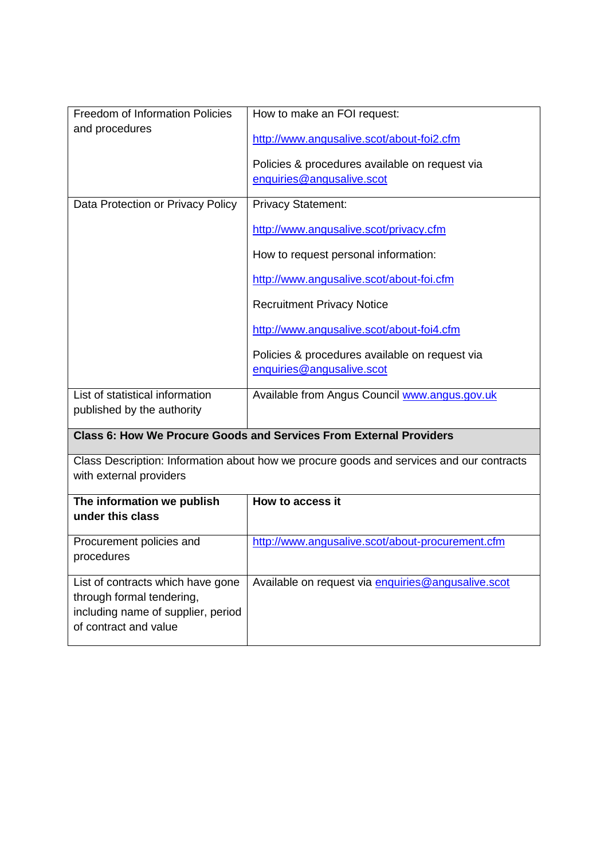| <b>Freedom of Information Policies</b>                      | How to make an FOI request:                                                              |
|-------------------------------------------------------------|------------------------------------------------------------------------------------------|
| and procedures                                              | http://www.angusalive.scot/about-foi2.cfm                                                |
|                                                             |                                                                                          |
|                                                             | Policies & procedures available on request via                                           |
|                                                             | enquiries@angusalive.scot                                                                |
| Data Protection or Privacy Policy                           | <b>Privacy Statement:</b>                                                                |
|                                                             | http://www.angusalive.scot/privacy.cfm                                                   |
|                                                             | How to request personal information:                                                     |
|                                                             | http://www.angusalive.scot/about-foi.cfm                                                 |
|                                                             | <b>Recruitment Privacy Notice</b>                                                        |
|                                                             | http://www.angusalive.scot/about-foi4.cfm                                                |
|                                                             | Policies & procedures available on request via                                           |
|                                                             | enquiries@angusalive.scot                                                                |
| List of statistical information                             | Available from Angus Council www.angus.gov.uk                                            |
| published by the authority                                  |                                                                                          |
|                                                             | Class 6: How We Procure Goods and Services From External Providers                       |
|                                                             | Class Description: Information about how we procure goods and services and our contracts |
| with external providers                                     |                                                                                          |
| The information we publish                                  | How to access it                                                                         |
| under this class                                            |                                                                                          |
| Procurement policies and                                    | http://www.angusalive.scot/about-procurement.cfm                                         |
| procedures                                                  |                                                                                          |
| List of contracts which have gone                           | Available on request via enquiries@angusalive.scot                                       |
| through formal tendering,                                   |                                                                                          |
| including name of supplier, period<br>of contract and value |                                                                                          |
|                                                             |                                                                                          |